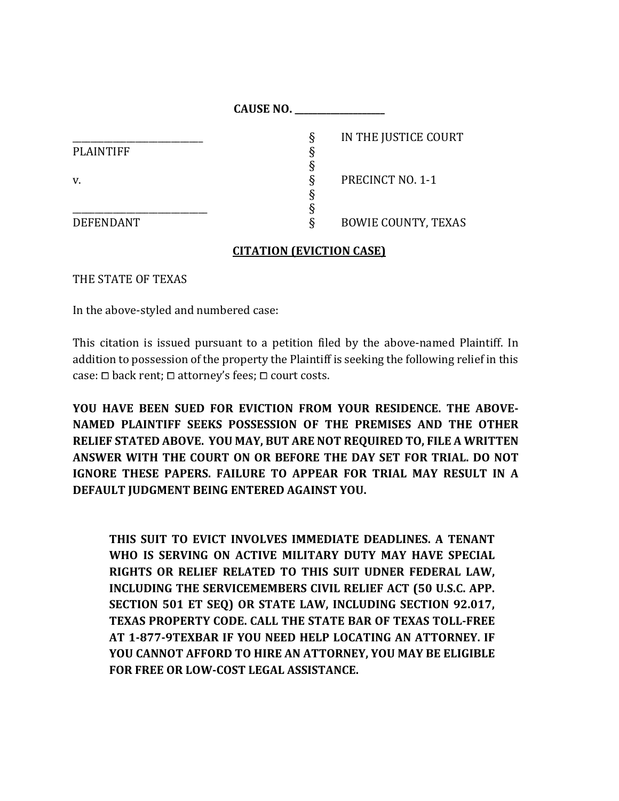|                  | <b>CAUSE NO.</b>                |
|------------------|---------------------------------|
|                  | IN THE JUSTICE COURT<br>Ş       |
| <b>PLAINTIFF</b> |                                 |
|                  |                                 |
| v.               | <b>PRECINCT NO. 1-1</b>         |
|                  |                                 |
|                  |                                 |
| <b>DEFENDANT</b> | <b>BOWIE COUNTY, TEXAS</b><br>δ |

## **CITATION (EVICTION CASE)**

THE STATE OF TEXAS

In the above-styled and numbered case:

This citation is issued pursuant to a petition filed by the above-named Plaintiff. In addition to possession of the property the Plaintiff is seeking the following relief in this case:  $\square$  back rent;  $\square$  attorney's fees;  $\square$  court costs.

**YOU HAVE BEEN SUED FOR EVICTION FROM YOUR RESIDENCE. THE ABOVE-NAMED PLAINTIFF SEEKS POSSESSION OF THE PREMISES AND THE OTHER RELIEF STATED ABOVE. YOU MAY, BUT ARE NOT REQUIRED TO, FILE A WRITTEN ANSWER WITH THE COURT ON OR BEFORE THE DAY SET FOR TRIAL. DO NOT IGNORE THESE PAPERS. FAILURE TO APPEAR FOR TRIAL MAY RESULT IN A DEFAULT JUDGMENT BEING ENTERED AGAINST YOU.** 

**THIS SUIT TO EVICT INVOLVES IMMEDIATE DEADLINES. A TENANT WHO IS SERVING ON ACTIVE MILITARY DUTY MAY HAVE SPECIAL RIGHTS OR RELIEF RELATED TO THIS SUIT UDNER FEDERAL LAW, INCLUDING THE SERVICEMEMBERS CIVIL RELIEF ACT (50 U.S.C. APP. SECTION 501 ET SEQ) OR STATE LAW, INCLUDING SECTION 92.017, TEXAS PROPERTY CODE. CALL THE STATE BAR OF TEXAS TOLL-FREE AT 1-877-9TEXBAR IF YOU NEED HELP LOCATING AN ATTORNEY. IF YOU CANNOT AFFORD TO HIRE AN ATTORNEY, YOU MAY BE ELIGIBLE FOR FREE OR LOW-COST LEGAL ASSISTANCE.**